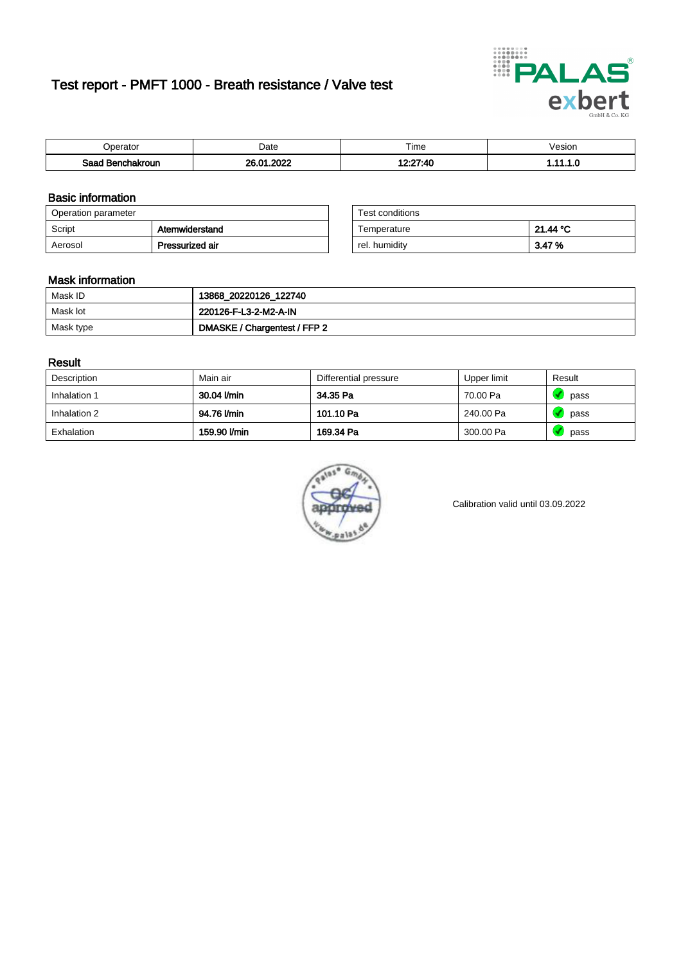# Test report - PMFT 1000 - Breath resistance / Valve test



| Jperator         | Date                | $- \cdot$<br>Гіmе            | esion? |
|------------------|---------------------|------------------------------|--------|
| Saad Benchakroun | פרחפ<br>20.01<br>שנ | $12.27 - AC$<br>טדי<br>- - - | .      |

### Basic information

| Operation parameter |                 | Test conditions |          |
|---------------------|-----------------|-----------------|----------|
| Script              | Atemwiderstand  | Temperature     | 21.44 °C |
| Aerosol             | Pressurized air | rel. humidity   | 3.47%    |

| Test conditions |          |
|-----------------|----------|
| Temperature     | 21.44 °C |
| rel. humidity   | 3.47%    |

#### Mask information

| Mask ID   | 13868_20220126_122740        |
|-----------|------------------------------|
| Mask lot  | 220126-F-L3-2-M2-A-IN        |
| Mask type | DMASKE / Chargentest / FFP 2 |

### Result

| Description  | Main air     | Differential pressure | Upper limit | Result |
|--------------|--------------|-----------------------|-------------|--------|
| Inhalation 1 | 30.04 l/min  | 34.35 Pa              | 70.00 Pa    | pass   |
| Inhalation 2 | 94.76 l/min  | 101.10 Pa             | 240.00 Pa   | pass   |
| Exhalation   | 159.90 l/min | 169.34 Pa             | 300.00 Pa   | pass   |



Calibration valid until 03.09.2022